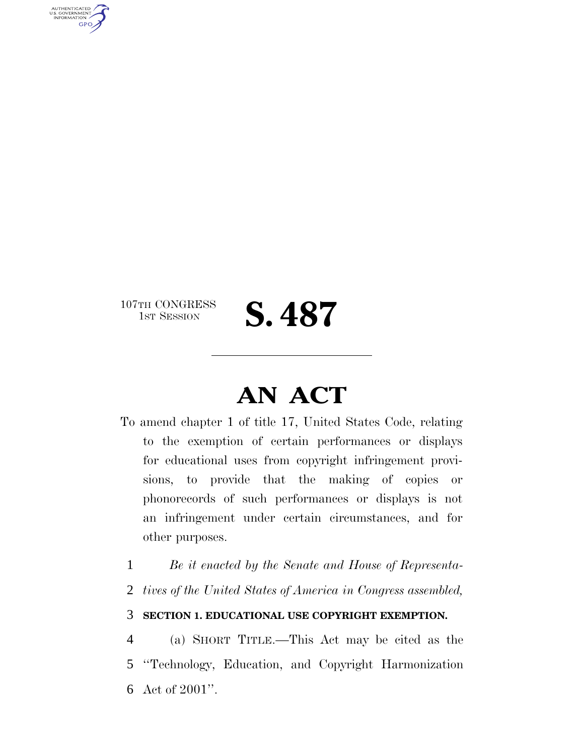107TH CONGRESS<br>1st Session

AUTHENTICATED<br>U.S. GOVERNMENT<br>INFORMATION **GPO** 

S. 487

## **AN ACT**

- To amend chapter 1 of title 17, United States Code, relating to the exemption of certain performances or displays for educational uses from copyright infringement provisions, to provide that the making of copies or phonorecords of such performances or displays is not an infringement under certain circumstances, and for other purposes.
	- 1 *Be it enacted by the Senate and House of Representa-*
	- 2 *tives of the United States of America in Congress assembled,*

## 3 **SECTION 1. EDUCATIONAL USE COPYRIGHT EXEMPTION.**

4 (a) SHORT TITLE.—This Act may be cited as the 5 ''Technology, Education, and Copyright Harmonization 6 Act of 2001''.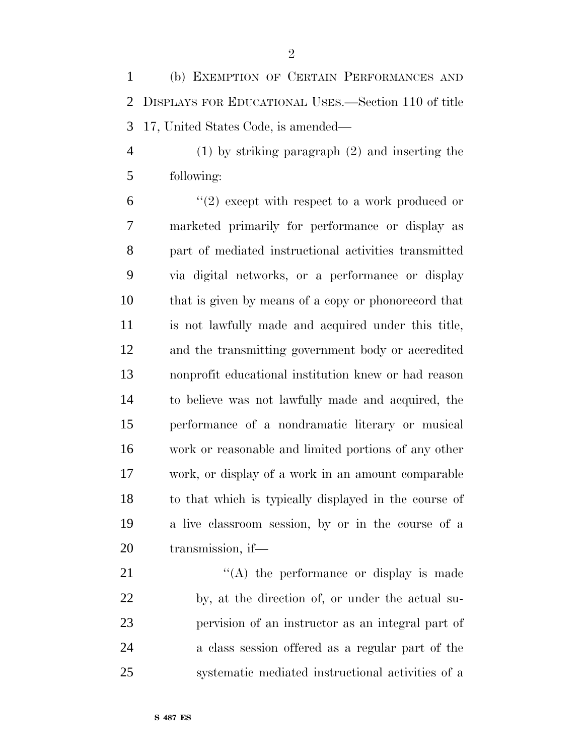(b) EXEMPTION OF CERTAIN PERFORMANCES AND DISPLAYS FOR EDUCATIONAL USES.—Section 110 of title 17, United States Code, is amended—

 (1) by striking paragraph (2) and inserting the following:

 $(2)$  except with respect to a work produced or marketed primarily for performance or display as part of mediated instructional activities transmitted via digital networks, or a performance or display that is given by means of a copy or phonorecord that is not lawfully made and acquired under this title, and the transmitting government body or accredited nonprofit educational institution knew or had reason to believe was not lawfully made and acquired, the performance of a nondramatic literary or musical work or reasonable and limited portions of any other work, or display of a work in an amount comparable to that which is typically displayed in the course of a live classroom session, by or in the course of a transmission, if—

21 "'(A) the performance or display is made by, at the direction of, or under the actual su- pervision of an instructor as an integral part of a class session offered as a regular part of the systematic mediated instructional activities of a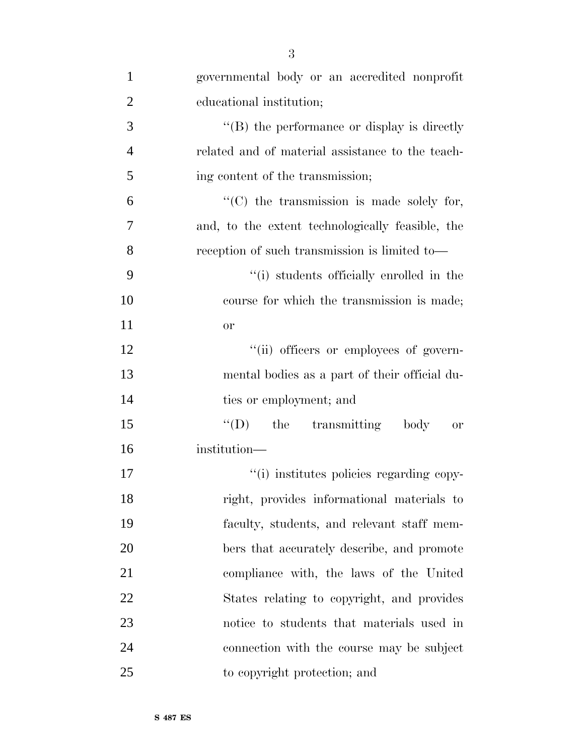| $\mathbf{1}$   | governmental body or an accredited nonprofit      |
|----------------|---------------------------------------------------|
| $\overline{2}$ | educational institution;                          |
| 3              | $\lq\lq$ the performance or display is directly   |
| $\overline{4}$ | related and of material assistance to the teach-  |
| 5              | ing content of the transmission;                  |
| 6              | $\lq\lq$ (C) the transmission is made solely for, |
| 7              | and, to the extent technologically feasible, the  |
| 8              | reception of such transmission is limited to—     |
| 9              | "(i) students officially enrolled in the          |
| 10             | course for which the transmission is made;        |
| 11             | <b>or</b>                                         |
| 12             | "(ii) officers or employees of govern-            |
| 13             | mental bodies as a part of their official du-     |
| 14             | ties or employment; and                           |
| 15             | $\lq\lq$ (D) the transmitting body<br>or          |
| 16             | institution-                                      |
| 17             | "(i) institutes policies regarding copy-          |
| 18             | right, provides informational materials to        |
| 19             | faculty, students, and relevant staff mem-        |
| 20             | bers that accurately describe, and promote        |
| 21             | compliance with, the laws of the United           |
| 22             | States relating to copyright, and provides        |
| 23             | notice to students that materials used in         |
| 24             | connection with the course may be subject         |
| 25             | to copyright protection; and                      |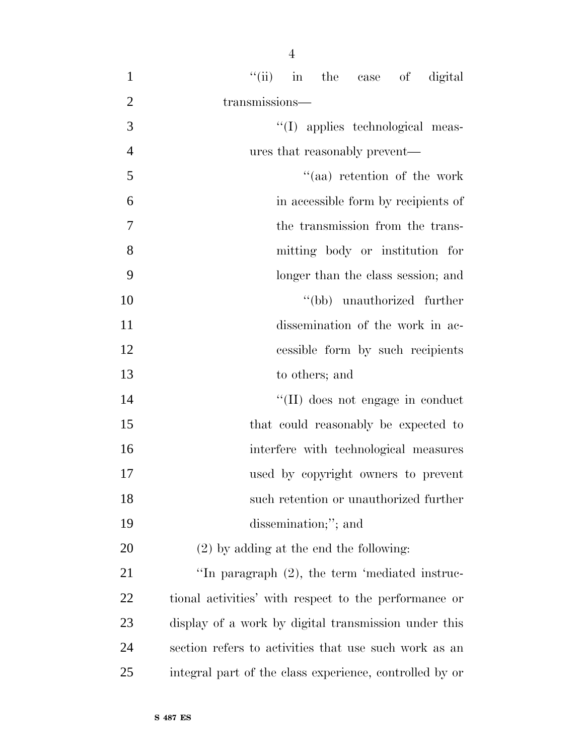| $\mathbf{1}$   | "(ii) in the case of digital                          |
|----------------|-------------------------------------------------------|
| $\overline{2}$ | transmissions-                                        |
| 3              | "(I) applies technological meas-                      |
| $\overline{4}$ | ures that reasonably prevent—                         |
| 5              | "(aa) retention of the work                           |
| 6              | in accessible form by recipients of                   |
| 7              | the transmission from the trans-                      |
| 8              | mitting body or institution for                       |
| 9              | longer than the class session; and                    |
| 10             | "(bb) unauthorized further                            |
| 11             | dissemination of the work in ac-                      |
| 12             | cessible form by such recipients                      |
| 13             | to others; and                                        |
| 14             | "(II) does not engage in conduct                      |
| 15             | that could reasonably be expected to                  |
| 16             | interfere with technological measures                 |
| 17             | used by copyright owners to prevent                   |
| 18             | such retention or unauthorized further                |
| 19             | dissemination;"; and                                  |
| 20             | $(2)$ by adding at the end the following:             |
| 21             | "In paragraph $(2)$ , the term 'mediated instruc-     |
| 22             | tional activities' with respect to the performance or |
| 23             | display of a work by digital transmission under this  |
| 24             | section refers to activities that use such work as an |

integral part of the class experience, controlled by or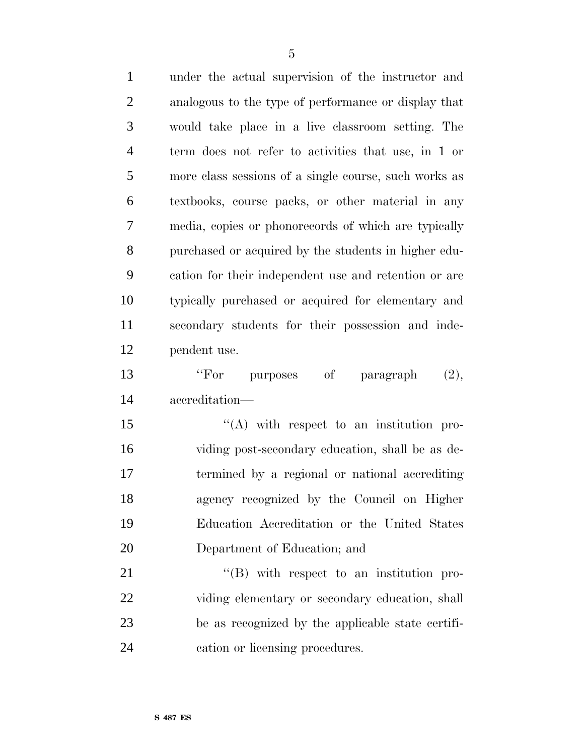| $\mathbf{1}$   | under the actual supervision of the instructor and    |
|----------------|-------------------------------------------------------|
| $\overline{2}$ | analogous to the type of performance or display that  |
| 3              | would take place in a live classroom setting. The     |
| $\overline{4}$ | term does not refer to activities that use, in 1 or   |
| 5              | more class sessions of a single course, such works as |
| 6              | textbooks, course packs, or other material in any     |
| 7              | media, copies or phonorecords of which are typically  |
| 8              | purchased or acquired by the students in higher edu-  |
| 9              | cation for their independent use and retention or are |
| 10             | typically purchased or acquired for elementary and    |
| 11             | secondary students for their possession and inde-     |
| 12             | pendent use.                                          |
| 13             | "For purposes of paragraph<br>(2),                    |
| 14             | accreditation-                                        |
| 15             | $\lq\lq$ with respect to an institution pro-          |
| 16             | viding post-secondary education, shall be as de-      |
| 17             | termined by a regional or national accrediting        |
| 18             | agency recognized by the Council on Higher            |
| 19             | Education Accreditation or the United States          |
| 20             | Department of Education; and                          |
| 21             | $\lq\lq (B)$ with respect to an institution pro-      |
| 22             | viding elementary or secondary education, shall       |
| 23             | be as recognized by the applicable state certifi-     |
| 24             | cation or licensing procedures.                       |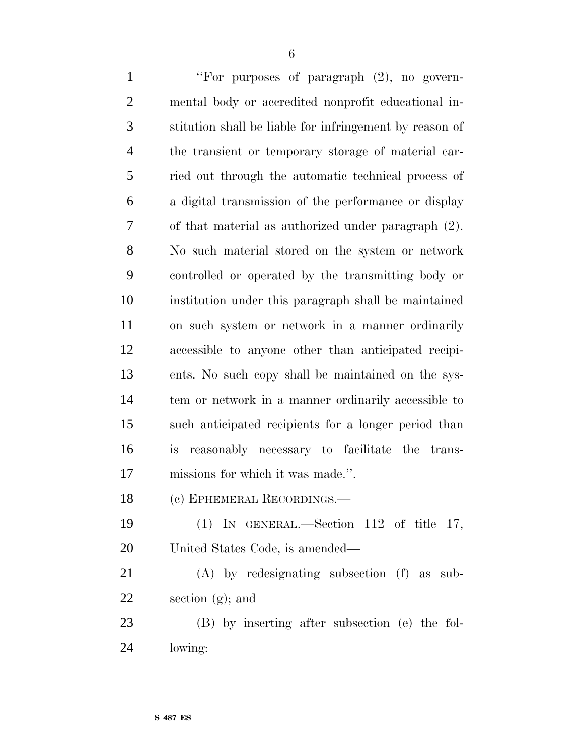| $\mathbf{1}$   | "For purposes of paragraph (2), no govern-              |
|----------------|---------------------------------------------------------|
| $\overline{2}$ | mental body or accredited nonprofit educational in-     |
| 3              | stitution shall be liable for infringement by reason of |
| $\overline{4}$ | the transient or temporary storage of material car-     |
| 5              | ried out through the automatic technical process of     |
| 6              | a digital transmission of the performance or display    |
| $\overline{7}$ | of that material as authorized under paragraph (2).     |
| 8              | No such material stored on the system or network        |
| 9              | controlled or operated by the transmitting body or      |
| 10             | institution under this paragraph shall be maintained    |
| 11             | on such system or network in a manner ordinarily        |
| 12             | accessible to anyone other than anticipated recipi-     |
| 13             | ents. No such copy shall be maintained on the sys-      |
| 14             | tem or network in a manner ordinarily accessible to     |
| 15             | such anticipated recipients for a longer period than    |
| 16             | reasonably necessary to facilitate the trans-<br>is     |
| 17             | missions for which it was made.".                       |
| 18             | (c) EPHEMERAL RECORDINGS.                               |
| 19             | IN GENERAL.—Section 112 of title 17,<br>(1)             |
|                |                                                         |

United States Code, is amended—

 (A) by redesignating subsection (f) as sub-section (g); and

 (B) by inserting after subsection (e) the fol-lowing: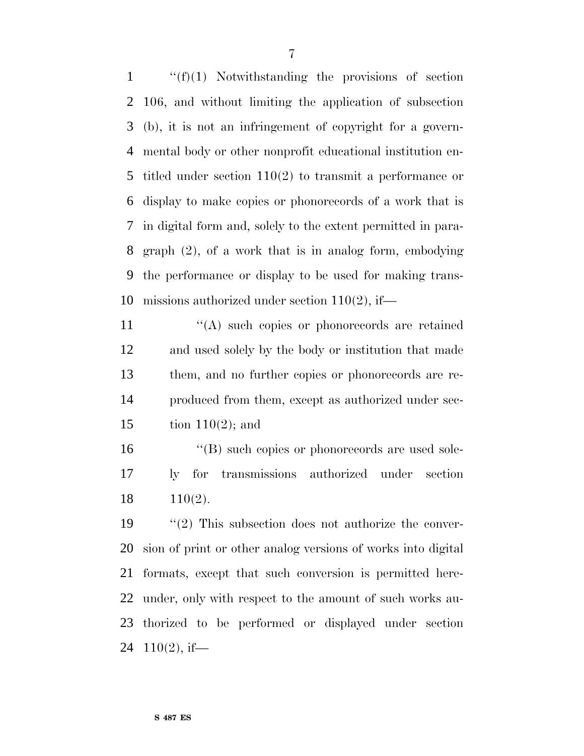''(f)(1) Notwithstanding the provisions of section 106, and without limiting the application of subsection (b), it is not an infringement of copyright for a govern- mental body or other nonprofit educational institution en- titled under section 110(2) to transmit a performance or display to make copies or phonorecords of a work that is in digital form and, solely to the extent permitted in para- graph (2), of a work that is in analog form, embodying the performance or display to be used for making trans-missions authorized under section 110(2), if—

 $\langle \text{A} \rangle$  such copies or phonorecords are retained and used solely by the body or institution that made them, and no further copies or phonorecords are re- produced from them, except as authorized under sec-15 tion  $110(2)$ ; and

16  $\langle$  (B) such copies or phonorecords are used sole- ly for transmissions authorized under section 110(2).

 ''(2) This subsection does not authorize the conver- sion of print or other analog versions of works into digital formats, except that such conversion is permitted here- under, only with respect to the amount of such works au- thorized to be performed or displayed under section  $110(2)$ , if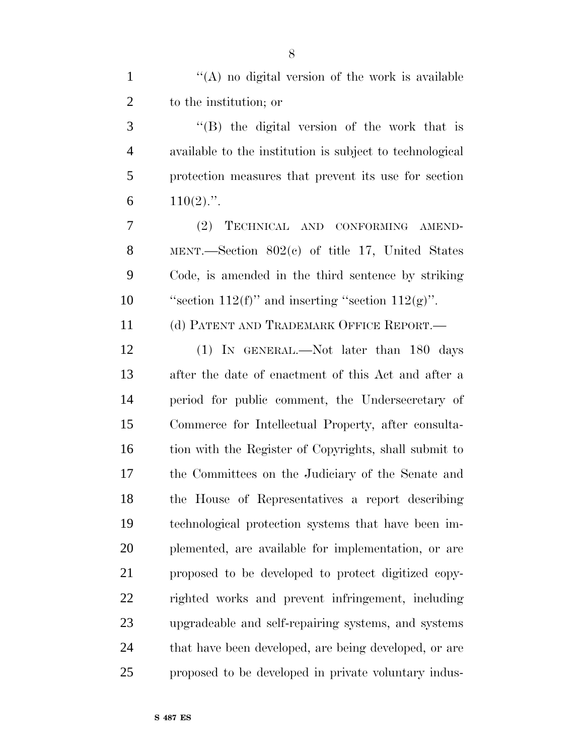''(B) the digital version of the work that is available to the institution is subject to technological protection measures that prevent its use for section  $110(2)$ .".

 (2) TECHNICAL AND CONFORMING AMEND- MENT.—Section 802(c) of title 17, United States Code, is amended in the third sentence by striking 10 "section  $112(f)$ " and inserting "section  $112(g)$ ".

(d) PATENT AND TRADEMARK OFFICE REPORT.—

 (1) IN GENERAL.—Not later than 180 days after the date of enactment of this Act and after a period for public comment, the Undersecretary of Commerce for Intellectual Property, after consulta- tion with the Register of Copyrights, shall submit to the Committees on the Judiciary of the Senate and the House of Representatives a report describing technological protection systems that have been im- plemented, are available for implementation, or are proposed to be developed to protect digitized copy- righted works and prevent infringement, including upgradeable and self-repairing systems, and systems 24 that have been developed, are being developed, or are proposed to be developed in private voluntary indus-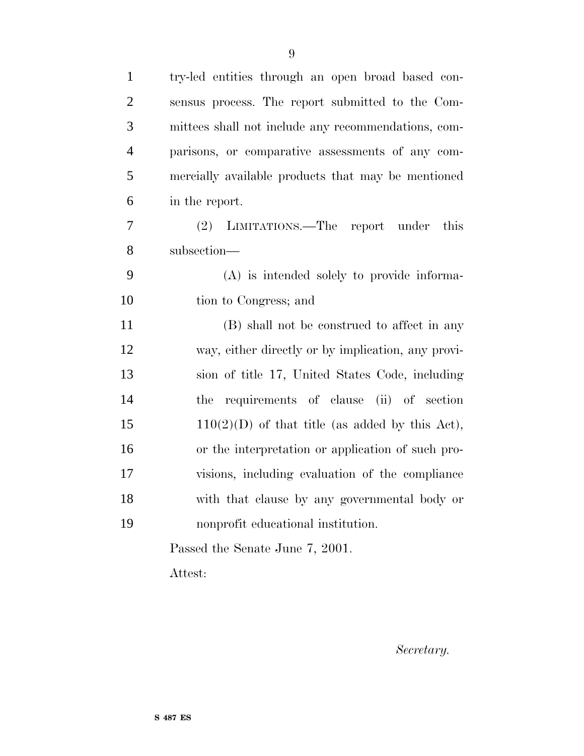| $\mathbf{1}$   | try-led entities through an open broad based con-   |
|----------------|-----------------------------------------------------|
| $\overline{2}$ | sensus process. The report submitted to the Com-    |
| 3              | mittees shall not include any recommendations, com- |
| $\overline{4}$ | parisons, or comparative assessments of any com-    |
| 5              | mercially available products that may be mentioned  |
| 6              | in the report.                                      |
| 7              | this<br>(2) LIMITATIONS.—The report under           |
| 8              | subsection-                                         |
| 9              | (A) is intended solely to provide informa-          |
| 10             | tion to Congress; and                               |
| 11             | (B) shall not be construed to affect in any         |
| 12             | way, either directly or by implication, any provi-  |
| 13             | sion of title 17, United States Code, including     |
| 14             | requirements of clause (ii) of section<br>the       |
| 15             | $110(2)(D)$ of that title (as added by this Act),   |
| 16             | or the interpretation or application of such pro-   |
| 17             | visions, including evaluation of the compliance     |
| 18             | with that clause by any governmental body or        |
| 19             | nonprofit educational institution.                  |
|                | Passed the Senate June 7, 2001.                     |

Attest:

*Secretary.*